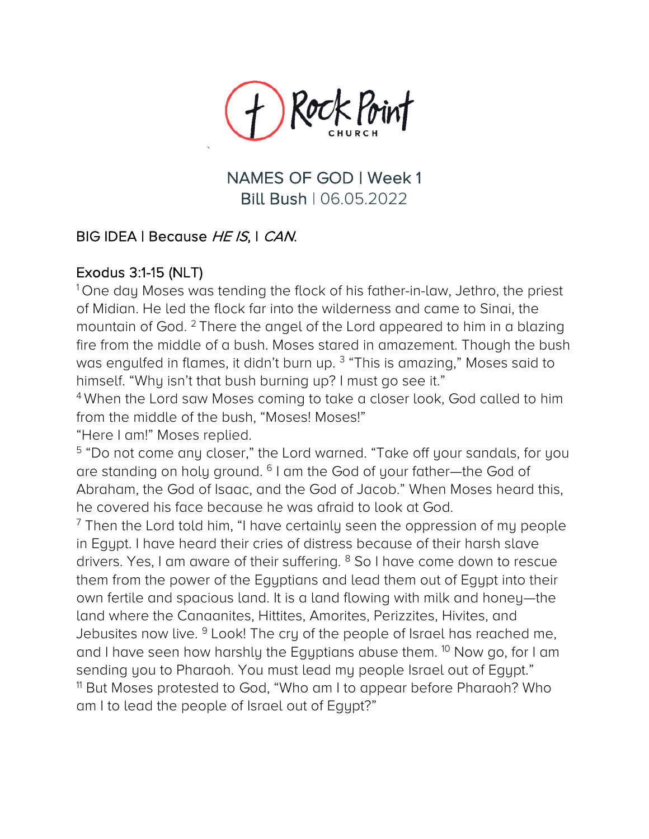

NAMES OF GOD | Week 1 Bill Bush | 06.05.2022

# BIG IDEA | Because HE IS, I CAN.

`

Exodus 3:1-15 (NLT)<br><sup>1</sup> One day Moses was tending the flock of his father-in-law, Jethro, the priest of Midian. He led the flock far into the wilderness and came to Sinai, the mountain of God. <sup>2</sup> There the angel of the Lord appeared to him in a blazing fire from the middle of a bush. Moses stared in amazement. Though the bush was engulfed in flames, it didn't burn up. <sup>3</sup> "This is amazing," Moses said to himself. "Why isn't that bush burning up? I must go see it."

<sup>4</sup> When the Lord saw Moses coming to take a closer look, God called to him from the middle of the bush, "Moses! Moses!"

"Here I am!" Moses replied.

<sup>5</sup> "Do not come any closer," the Lord warned. "Take off your sandals, for you are standing on holy ground. <sup>6</sup> I am the God of your father—the God of Abraham, the God of Isaac, and the God of Jacob." When Moses heard this, he covered his face because he was afraid to look at God.

 $<sup>7</sup>$  Then the Lord told him, "I have certainly seen the oppression of my people</sup> in Egypt. I have heard their cries of distress because of their harsh slave drivers. Yes, I am aware of their suffering. <sup>8</sup> So I have come down to rescue them from the power of the Egyptians and lead them out of Egypt into their own fertile and spacious land. It is a land flowing with milk and honey—the land where the Canaanites, Hittites, Amorites, Perizzites, Hivites, and Jebusites now live. <sup>9</sup> Look! The cry of the people of Israel has reached me, and I have seen how harshly the Egyptians abuse them. <sup>10</sup> Now go, for I am sending you to Pharaoh. You must lead my people Israel out of Egypt." <sup>11</sup> But Moses protested to God, "Who am I to appear before Pharaoh? Who am I to lead the people of Israel out of Egypt?"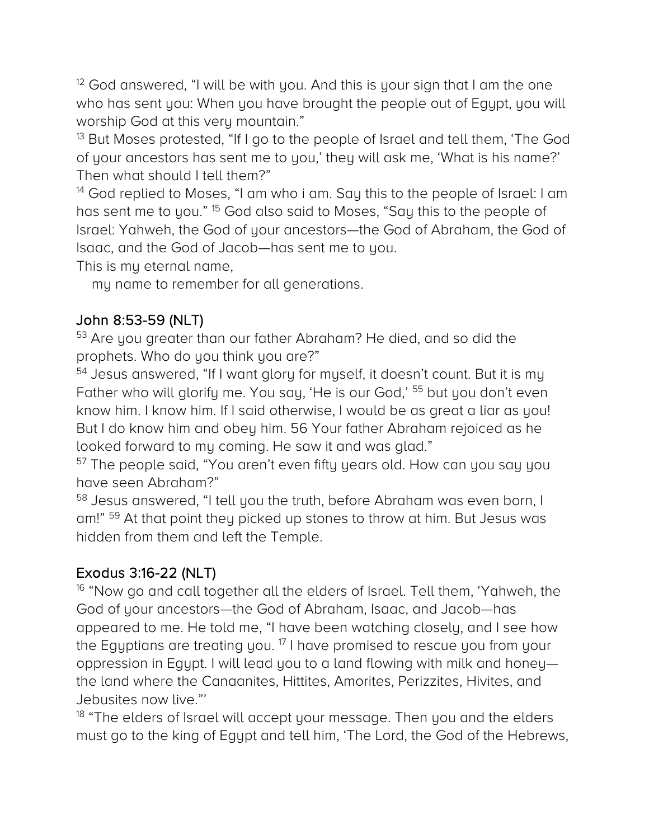$12$  God answered, "I will be with you. And this is your sign that I am the one who has sent you: When you have brought the people out of Egypt, you will worship God at this very mountain."

<sup>13</sup> But Moses protested, "If I go to the people of Israel and tell them, 'The God of your ancestors has sent me to you,' they will ask me, 'What is his name?' Then what should I tell them?"

<sup>14</sup> God replied to Moses, "I am who i am. Say this to the people of Israel: I am has sent me to you." <sup>15</sup> God also said to Moses, "Say this to the people of Israel: Yahweh, the God of your ancestors—the God of Abraham, the God of Isaac, and the God of Jacob—has sent me to you.

This is my eternal name,

my name to remember for all generations.

John 8:53-59 (NLT)<br><sup>53</sup> Are you greater than our father Abraham? He died, and so did the prophets. Who do you think you are?"

<sup>54</sup> Jesus answered, "If I want glory for myself, it doesn't count. But it is my Father who will glorify me. You say, 'He is our God,' <sup>55</sup> but you don't even know him. I know him. If I said otherwise, I would be as great a liar as you! But I do know him and obey him. 56 Your father Abraham rejoiced as he looked forward to my coming. He saw it and was glad."

<sup>57</sup> The people said, "You aren't even fifty years old. How can you say you have seen Abraham?"

<sup>58</sup> Jesus answered, "I tell you the truth, before Abraham was even born, I am!" <sup>59</sup> At that point they picked up stones to throw at him. But Jesus was hidden from them and left the Temple.

Exodus 3:16-22 (NLT)<br><sup>16</sup> "Now go and call together all the elders of Israel. Tell them, 'Yahweh, the God of your ancestors—the God of Abraham, Isaac, and Jacob—has appeared to me. He told me, "I have been watching closely, and I see how the Egyptians are treating you.<sup>17</sup> I have promised to rescue you from your oppression in Egypt. I will lead you to a land flowing with milk and honey the land where the Canaanites, Hittites, Amorites, Perizzites, Hivites, and Jebusites now live."'

<sup>18</sup> "The elders of Israel will accept your message. Then you and the elders must go to the king of Egypt and tell him, 'The Lord, the God of the Hebrews,